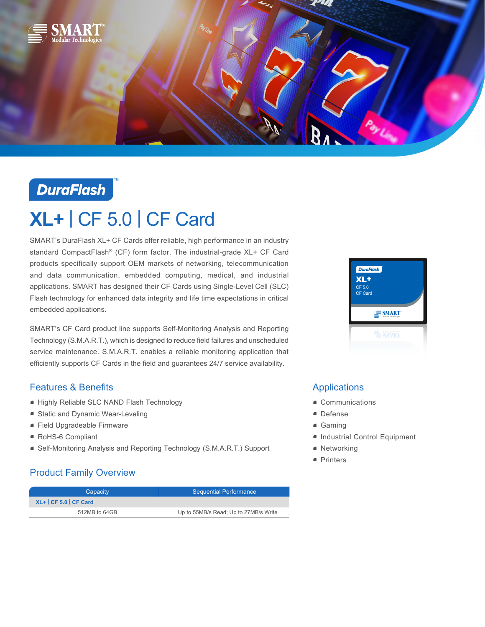

## **DuraFlash**

# **XL+** | CF 5.0 | CF Card

SMART's DuraFlash XL+ CF Cards offer reliable, high performance in an industry standard CompactFlash® (CF) form factor. The industrial-grade XL+ CF Card products specifically support OEM markets of networking, telecommunication and data communication, embedded computing, medical, and industrial applications. SMART has designed their CF Cards using Single-Level Cell (SLC) Flash technology for enhanced data integrity and life time expectations in critical embedded applications.

SMART's CF Card product line supports Self-Monitoring Analysis and Reporting Technology (S.M.A.R.T.), which is designed to reduce field failures and unscheduled service maintenance. S.M.A.R.T. enables a reliable monitoring application that efficiently supports CF Cards in the field and guarantees 24/7 service availability.

#### Features & Benefits

- Highly Reliable SLC NAND Flash Technology
- Static and Dynamic Wear-Leveling
- Field Upgradeable Firmware
- RoHS-6 Compliant
- Self-Monitoring Analysis and Reporting Technology (S.M.A.R.T.) Support

### Product Family Overview

| Capacity             | <b>Sequential Performance</b>         |  |
|----------------------|---------------------------------------|--|
| $XL+ CF 5.0 CF Card$ |                                       |  |
| 512MB to 64GB        | Up to 55MB/s Read; Up to 27MB/s Write |  |



#### Applications

- Communications
- Defense
- Gaming
- Industrial Control Equipment
- Networking
- Printers